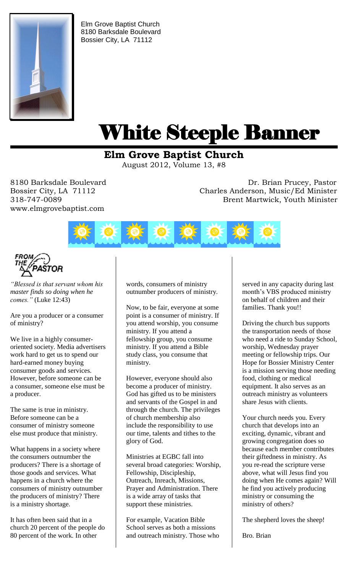

Elm Grove Baptist Church 8180 Barksdale Boulevard Bossier City, LA 71112

# White Steeple Banner ı

# **Elm Grove Baptist Church**

August 2012, Volume 13, #8

www.elmgrovebaptist.com

8180 Barksdale Boulevard **Dr. Brian Prucey, Pastor** Bossier City, LA 71112 Charles Anderson, Music/Ed Minister 318-747-0089 Brent Martwick, Youth Minister





*"Blessed is that servant whom his master finds so doing when he comes."* (Luke 12:43)

Are you a producer or a consumer of ministry?

We live in a highly consumeroriented society. Media advertisers work hard to get us to spend our hard-earned money buying consumer goods and services. However, before someone can be a consumer, someone else must be a producer.

The same is true in ministry. Before someone can be a consumer of ministry someone else must produce that ministry.

What happens in a society where the consumers outnumber the producers? There is a shortage of those goods and services. What happens in a church where the consumers of ministry outnumber the producers of ministry? There is a ministry shortage.

It has often been said that in a church 20 percent of the people do 80 percent of the work. In other

words, consumers of ministry outnumber producers of ministry.

Now, to be fair, everyone at some point is a consumer of ministry. If you attend worship, you consume ministry. If you attend a fellowship group, you consume ministry. If you attend a Bible study class, you consume that ministry.

However, everyone should also become a producer of ministry. God has gifted us to be ministers and servants of the Gospel in and through the church. The privileges of church membership also include the responsibility to use our time, talents and tithes to the glory of God.

Ministries at EGBC fall into several broad categories: Worship, Fellowship, Discipleship, Outreach, Inreach, Missions, Prayer and Administration. There is a wide array of tasks that support these ministries.

For example, Vacation Bible School serves as both a missions and outreach ministry. Those who served in any capacity during last month's VBS produced ministry on behalf of children and their families. Thank you!!

Driving the church bus supports the transportation needs of those who need a ride to Sunday School, worship, Wednesday prayer meeting or fellowship trips. Our Hope for Bossier Ministry Center is a mission serving those needing food, clothing or medical equipment. It also serves as an outreach ministry as volunteers share Jesus with clients.

Your church needs you. Every church that develops into an exciting, dynamic, vibrant and growing congregation does so because each member contributes their giftedness in ministry. As you re-read the scripture verse above, what will Jesus find you doing when He comes again? Will he find you actively producing ministry or consuming the ministry of others?

The shepherd loves the sheep!

Bro. Brian